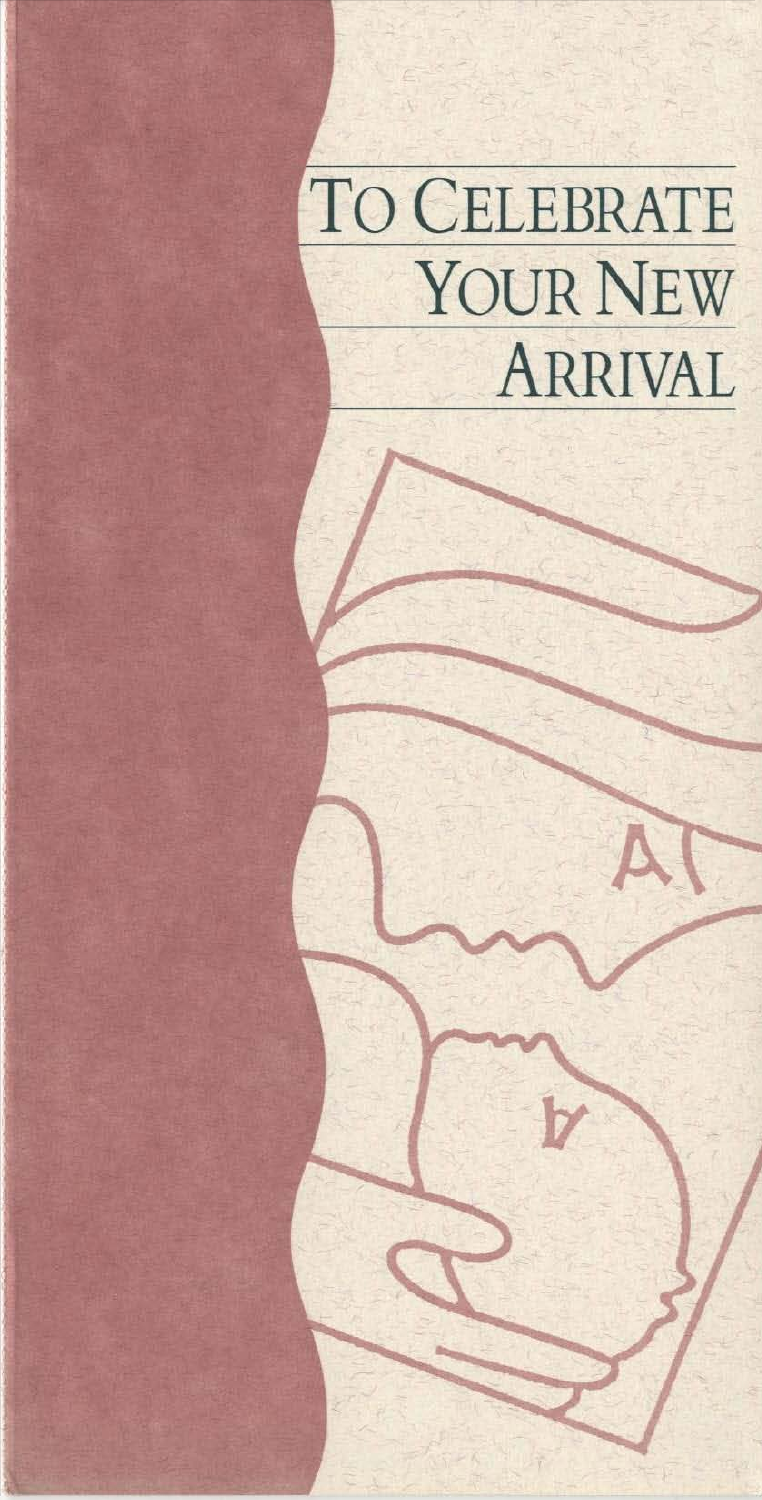# To CELEBRATE YOUR NEW ARRIVAL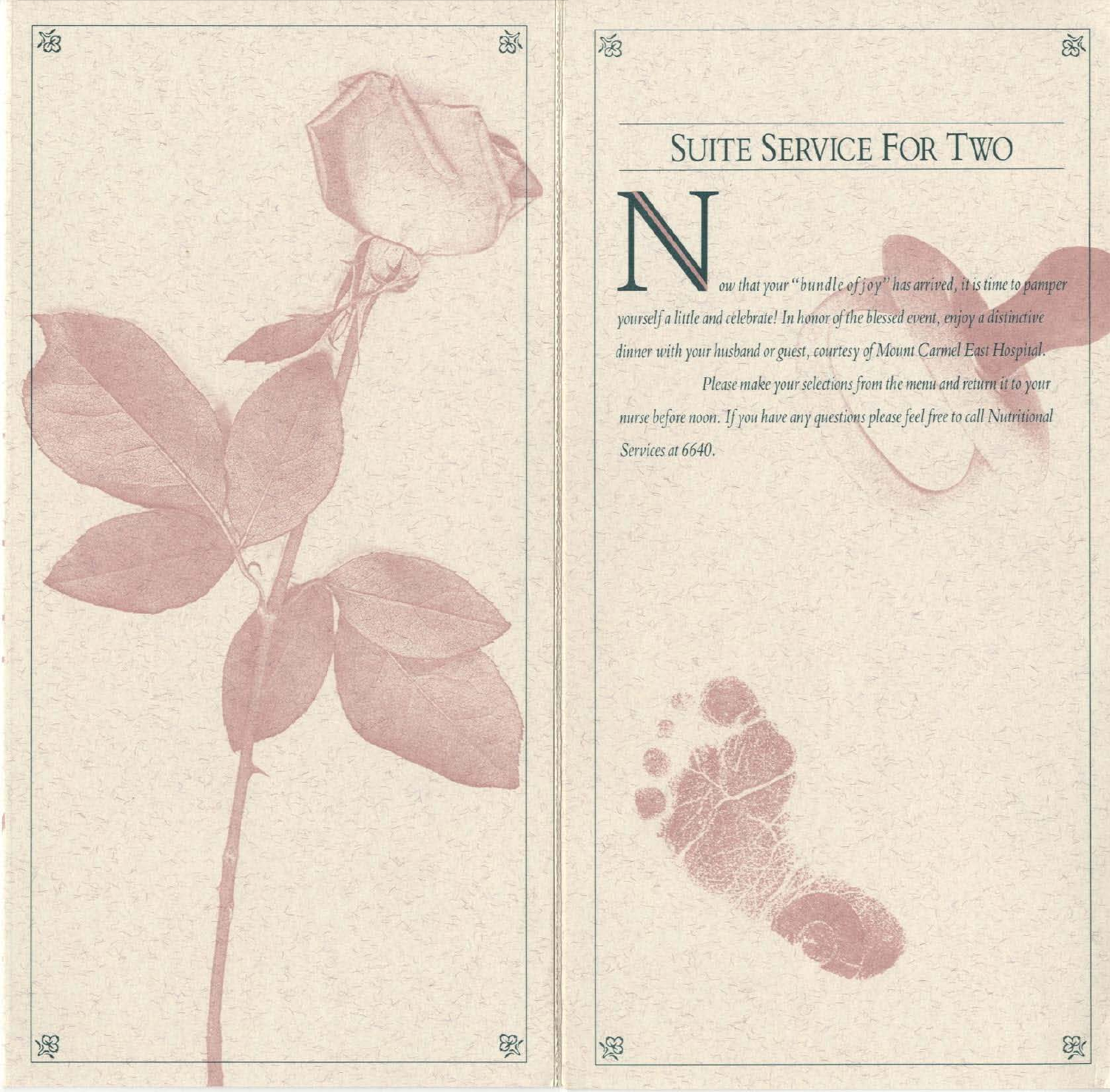

## **SUITE SERVICE FOR TWO**

8

R

福

汤

ow that your "bundle of joy" has arrived, it is time to pamper yourself a little and celebrate! In honor of the blessed event, enjoy a distinctive dinner with your husband or guest, courtesy of Mount Carmel East Hospital. Please make your selections from the menu and return it to your nurse before noon. If you have any questions please feel free to call Nutritional Services at 6640.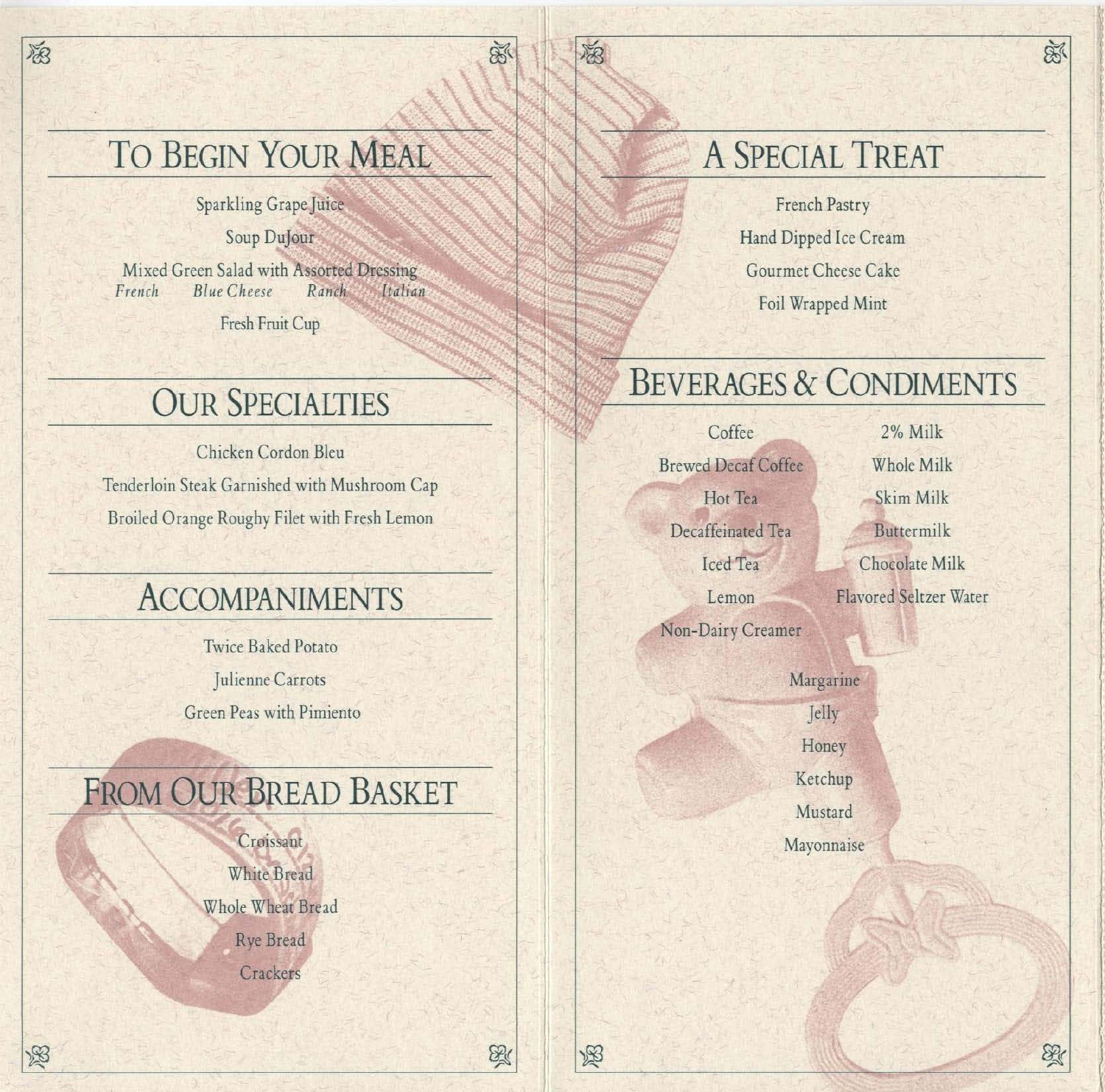# TO BEGIN YOUR MEAL

隐

汤

Sparkling Grape Juice

Soup DuJour

Mixed Green Salad with Assorted Dressing French Ranch Blue Cheese Italian

Fresh Fruit Cup

### **OUR SPECIALTIES**

Chicken Cordon Bleu Tenderloin Steak Garnished with Mushroom Cap Broiled Orange Roughy Filet with Fresh Lemon

#### **ACCOMPANIMENTS**

**Twice Baked Potato** Julienne Carrots Green Peas with Pimiento

### FROM OUR BREAD BASKET

Croissant White Bread Whole Wheat Bread Rye Bread Crackers

# A SPECIAL TREAT

French Pastry Hand Dipped Ice Cream Gourmet Cheese Cake Foil Wrapped Mint

#### **BEVERAGES & CONDIMENTS**

Coffee **Brewed Decaf Coffee** Hot Tea Decaffeinated Tea Iced Tea Lemon Non-Dairy Creamer

海

 $80$ 

B

窗

2% Milk Whole Milk Skim Milk Buttermilk Chocolate Milk Flavored Seltzer Water  $\mathbb{R}$ 

X

Margarine Jelly Honey Ketchup Mustard Mayonnaise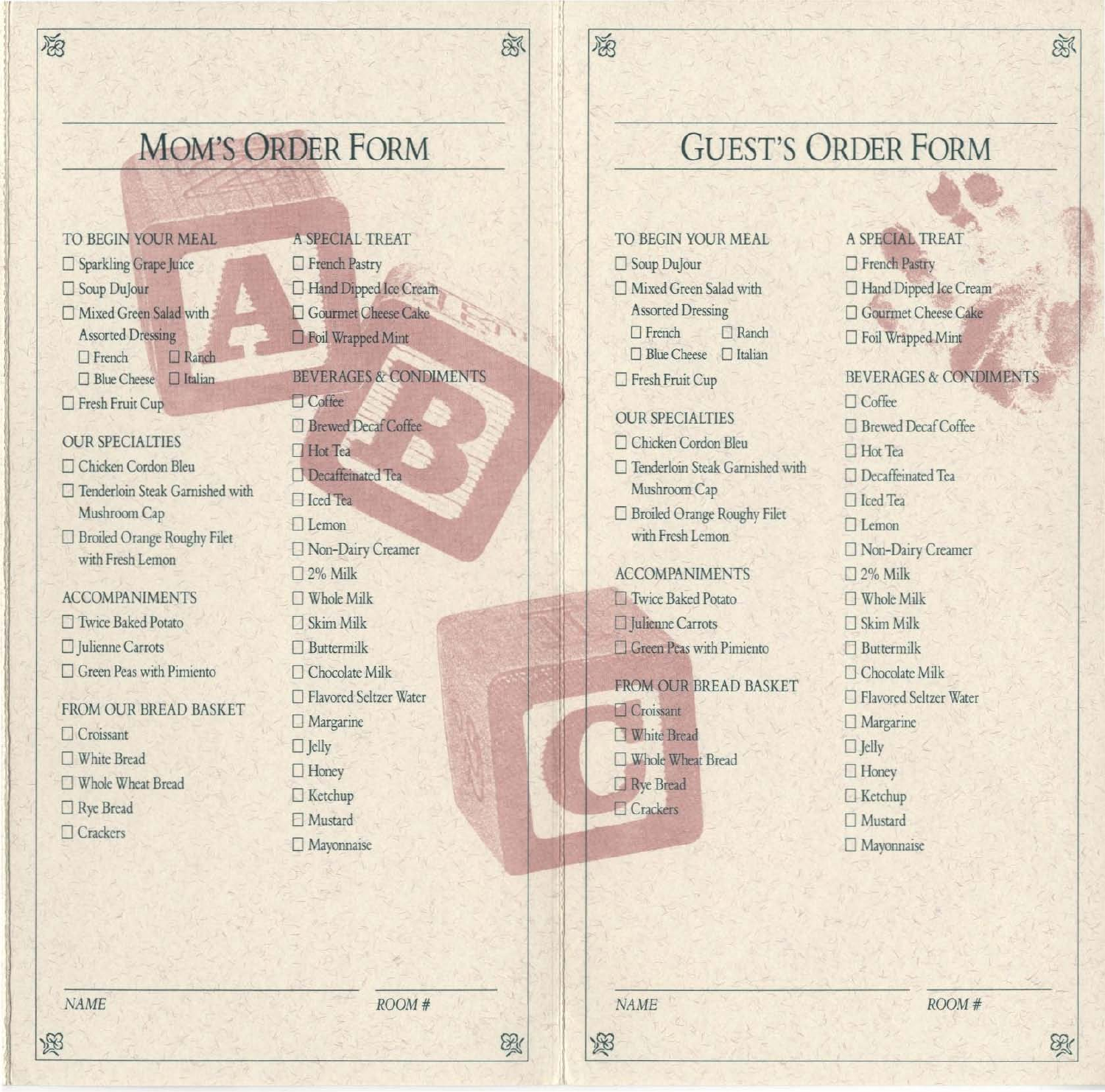#### **MOM'S ORDER FORM**

TO BEGIN YOUR MEAL □ Sparkling Grape Juice □ Soup DuJour Mixed Green Salad with **Assorted Dressing**  $\Box$  French  $\square$  Ranch □ Blue Cheese □ Italian  $\Box$  Fresh Fruit Cup

窗

#### **OUR SPECIALTIES**

□ Chicken Cordon Bleu □ Tenderloin Steak Garnished with Mushroom Cap □ Broiled Orange Roughy Filet with Fresh Lemon

**ACCOMPANIMENTS Twice Baked Potato** □ Julienne Carrots □ Green Peas with Pimiento

FROM OUR BREAD BASKET  $\Box$  Croissant □ White Bread Whole Wheat Bread Rye Bread  $\Box$  Crackers

A SPECIAL TREAT French Pastry □ Hand Dipped Ice Cream □ Gourmet Cheese Cake □ Foil Wrapped Mint

家

葱

**BEVERAGES & CONDIMENTS T**Coffee □ Brewed Decaf Coffee  $\Box$  Hot Tea Decaffeinated Tea  $\Box$  Iced Tea  $\Box$  Lemon Non-Dairy Creamer  $\square$  2% Milk  $\Box$  Whole Milk Skim Milk  $\Box$  Buttermilk  $\Box$  Chocolate Milk Flavored Seltzer Water  $\Box$  Margarine  $\Box$  Jelly  $\Box$  Honey  $\Box$  Ketchup **El** Mustard

#### **GUEST'S ORDER FORM**

TO BEGIN YOUR MEAL Soup DuJour Mixed Green Salad with **Assorted Dressing**  $\Box$  Ranch  $\Box$  French □ Blue Cheese □ Italian Fresh Fruit Cup

**OUR SPECIALTIES** □ Chicken Cordon Bleu □ Tenderloin Steak Garnished with Mushroom Cap Broiled Orange Roughy Filet

with Fresh Lemon

**ACCOMPANIMENTS** Twice Baked Potato □ Julienne Carrots Green Peas with Pimiento

FROM OUR BREAD BASKET Croissant **White Bread** Whole Wheat Bread Rye Bread Crackers

A SPECIAL TREAT  $\Box$  French Pastry Hand Dipped Ice Cream **OGurmet Cheese Cake** □ Foil Wrapped Mint **BEVERAGES & CONDIMENTS**  $\Box$  Coffee □ Brewed Decaf Coffee  $\Box$  Hot Tea □ Decaffeinated Tea  $\Box$  Iced Tea  $\Box$  Lemon □ Non-Dairy Creamer  $\square$  2% Milk  $\Box$  Whole Milk □ Skim Milk **F** Buttermilk □ Chocolate Milk □ Flavored Seltzer Water  $\Box$  Margarine  $\Box$  Jelly  $\Box$  Honey  $\Box$  Ketchup □ Mustard

函

**NAME** 

函

 $ROOM#$ 

Mayonnaise

**NAME** 

函

X

 $ROOM#$ 

X

 $\Box$  Mayonnaise